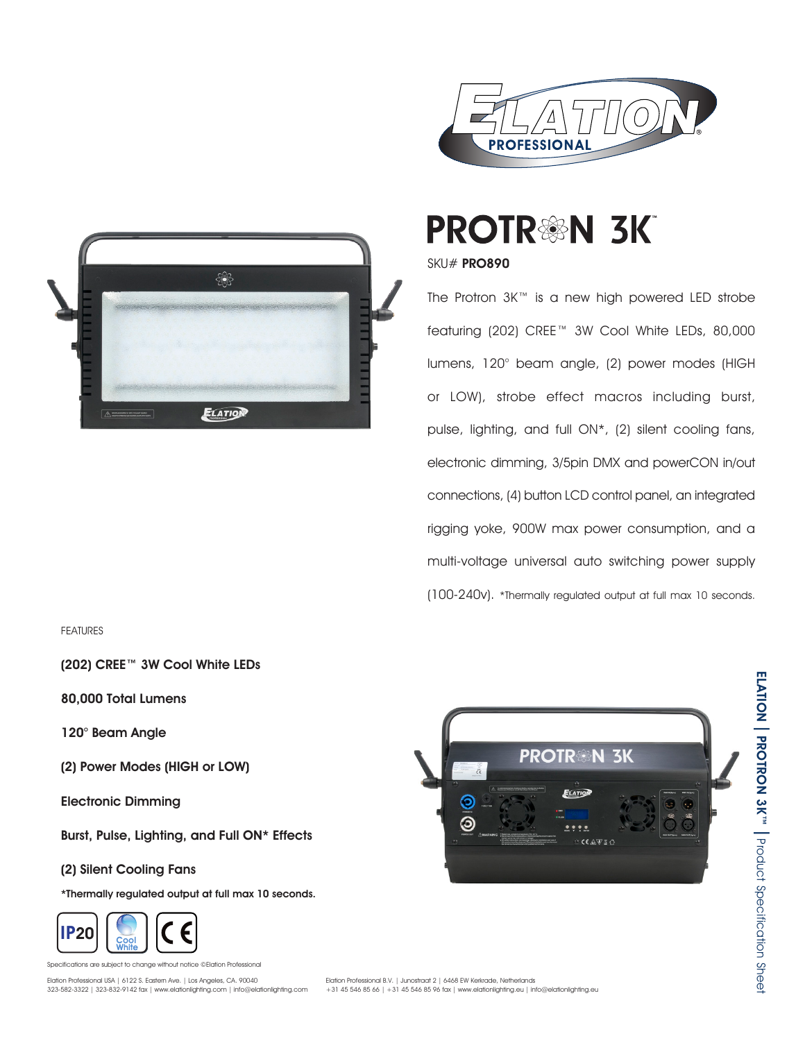



FEATURES

(202) CREE™ 3W Cool White LEDs

80,000 Total Lumens

120° Beam Angle

(2) Power Modes (HIGH or LOW)

Electronic Dimming

Burst, Pulse, Lighting, and Full ON\* Effects

(2) Silent Cooling Fans

\*Thermally regulated output at full max 10 seconds.



ations are subject to change without notice ©Elation Professional Elation Professional USA | 6122 S. Eastern Ave. | Los Angeles, CA. 90040



**PROTR®N 3K** 

SKU# PRO890

The Protron 3K™ is a new high powered LED strobe featuring (202) CREE™ 3W Cool White LEDs, 80,000 lumens, 120° beam angle, (2) power modes (HIGH or LOW), strobe effect macros including burst, pulse, lighting, and full ON\*, (2) silent cooling fans, electronic dimming, 3/5pin DMX and powerCON in/out connections, (4) button LCD control panel, an integrated rigging yoke, 900W max power consumption, and a multi-voltage universal auto switching power supply (100-240v). \*Thermally regulated output at full max 10 seconds.

**PROTR®** 

**ZK** 

 $C \in \mathbb{A} \times \mathbb{Z}$ 



ELATION

ELATION PROTRON 3K" | Product Specification Shee

I Product Specification Sheet

PROTRON 3K™

Elation Professional B.V. | Junostraat 2 | 6468 EW Kerkrade, Netherlands +31 45 546 85 66 | +31 45 546 85 96 fax | www.elationlighting.eu | info@elationlighting.eu